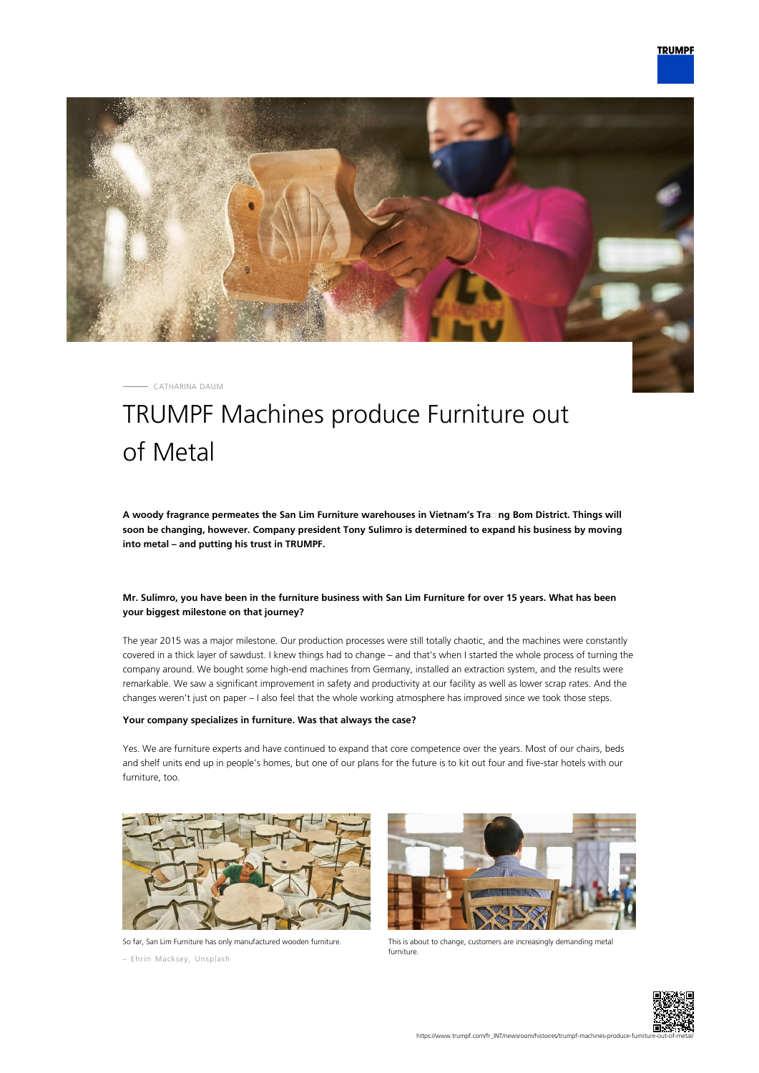

CATHARINA DAUM

# TRUMPF Machines produce Furniture out of Metal

**A woody fragrance permeates the San Lim Furniture warehouses in Vietnam's Tra᾿ ng Bom District. Things will soon be changing, however. Company president Tony Sulimro is determined to expand his business by moving into metal – and putting his trust in TRUMPF.**

## **Mr. Sulimro, you have been in the furniture business with San Lim Furniture for over 15 years. What has been your biggest milestone on that journey?**

The year 2015 was a major milestone. Our production processes were still totally chaotic, and the machines were constantly covered in a thick layer of sawdust. I knew things had to change – and that's when I started the whole process of turning the company around. We bought some high-end machines from Germany, installed an extraction system, and the results were remarkable. We saw a significant improvement in safety and productivity at our facility as well as lower scrap rates. And the changes weren't just on paper – I also feel that the whole working atmosphere has improved since we took those steps.

#### **Your company specializes in furniture. Was that always the case?**

Yes. We are furniture experts and have continued to expand that core competence over the years. Most of our chairs, beds and shelf units end up in people's homes, but one of our plans for the future is to kit out four and five-star hotels with our furniture, too.



So far, San Lim Furniture has only manufactured wooden furniture.

– Ehrin Macksey, Unsplash



This is about to change, customers are increasingly demanding metal furniture.

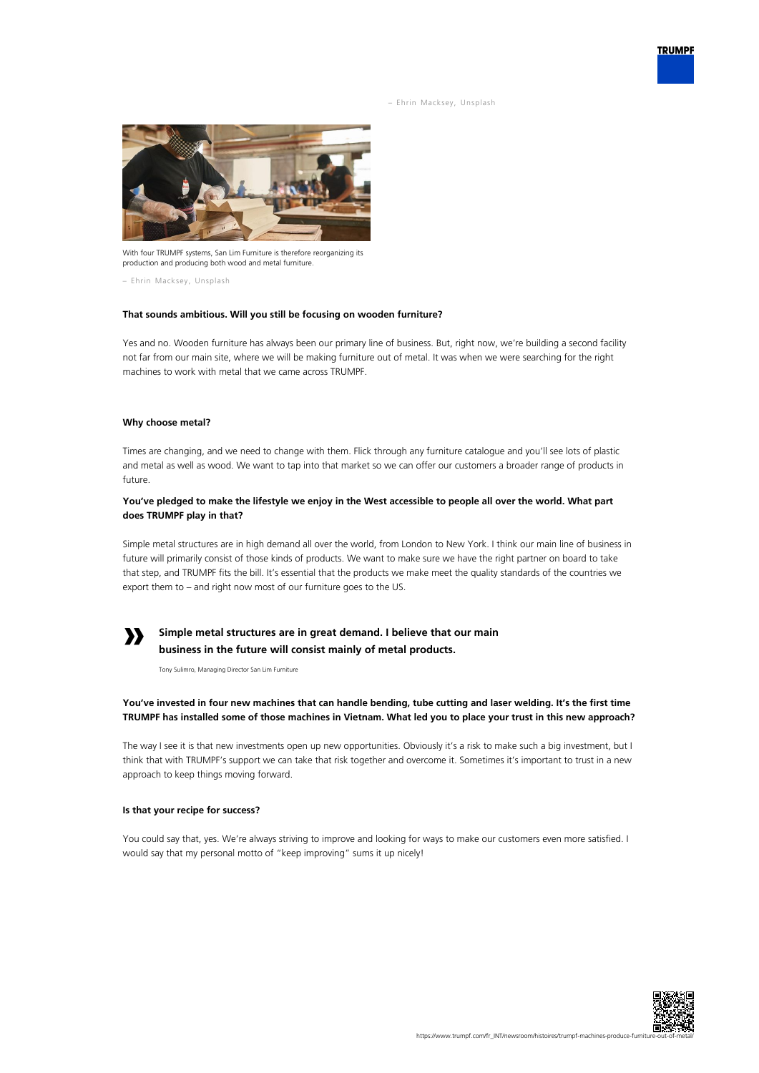– Ehrin Macksey, Unsplash



With four TRUMPF systems, San Lim Furniture is therefore reorganizing its production and producing both wood and metal furniture.

– Ehrin Macksey, Unsplash

#### **That sounds ambitious. Will you still be focusing on wooden furniture?**

Yes and no. Wooden furniture has always been our primary line of business. But, right now, we're building a second facility not far from our main site, where we will be making furniture out of metal. It was when we were searching for the right machines to work with metal that we came across TRUMPF.

#### **Why choose metal?**

Times are changing, and we need to change with them. Flick through any furniture catalogue and you'll see lots of plastic and metal as well as wood. We want to tap into that market so we can offer our customers a broader range of products in future.

#### **You've pledged to make the lifestyle we enjoy in the West accessible to people all over the world. What part does TRUMPF play in that?**

Simple metal structures are in high demand all over the world, from London to New York. I think our main line of business in future will primarily consist of those kinds of products. We want to make sure we have the right partner on board to take that step, and TRUMPF fits the bill. It's essential that the products we make meet the quality standards of the countries we export them to – and right now most of our furniture goes to the US.

# **»**

# **Simple metal structures are in great demand. I believe that our main business in the future will consist mainly of metal products.**

Tony Sulimro, Managing Director San Lim Furniture

## **You've invested in four new machines that can handle bending, tube cutting and laser welding. It's the first time TRUMPF has installed some of those machines in Vietnam. What led you to place your trust in this new approach?**

The way I see it is that new investments open up new opportunities. Obviously it's a risk to make such a big investment, but I think that with TRUMPF's support we can take that risk together and overcome it. Sometimes it's important to trust in a new approach to keep things moving forward.

#### **Is that your recipe for success?**

You could say that, yes. We're always striving to improve and looking for ways to make our customers even more satisfied. I would say that my personal motto of "keep improving" sums it up nicely!



**TRUMPF**